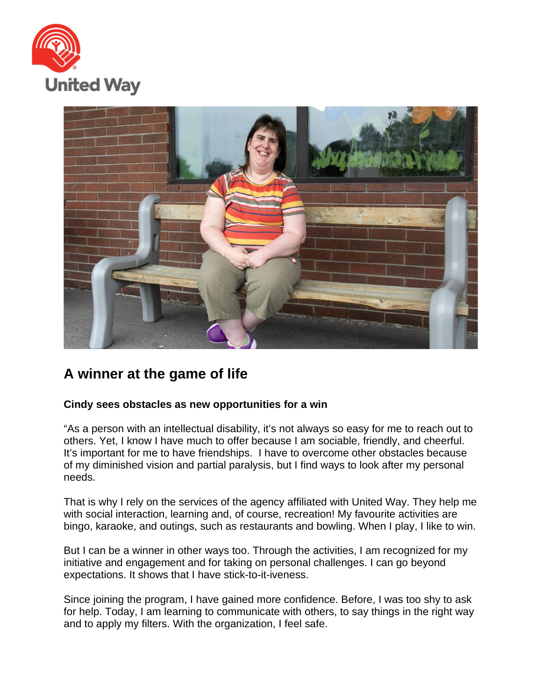



## **A winner at the game of life**

## **Cindy sees obstacles as new opportunities for a win**

"As a person with an intellectual disability, it's not always so easy for me to reach out to others. Yet, I know I have much to offer because I am sociable, friendly, and cheerful. It's important for me to have friendships. I have to overcome other obstacles because of my diminished vision and partial paralysis, but I find ways to look after my personal needs.

That is why I rely on the services of the agency affiliated with United Way. They help me with social interaction, learning and, of course, recreation! My favourite activities are bingo, karaoke, and outings, such as restaurants and bowling. When I play, I like to win.

But I can be a winner in other ways too. Through the activities, I am recognized for my initiative and engagement and for taking on personal challenges. I can go beyond expectations. It shows that I have stick-to-it-iveness.

Since joining the program, I have gained more confidence. Before, I was too shy to ask for help. Today, I am learning to communicate with others, to say things in the right way and to apply my filters. With the organization, I feel safe.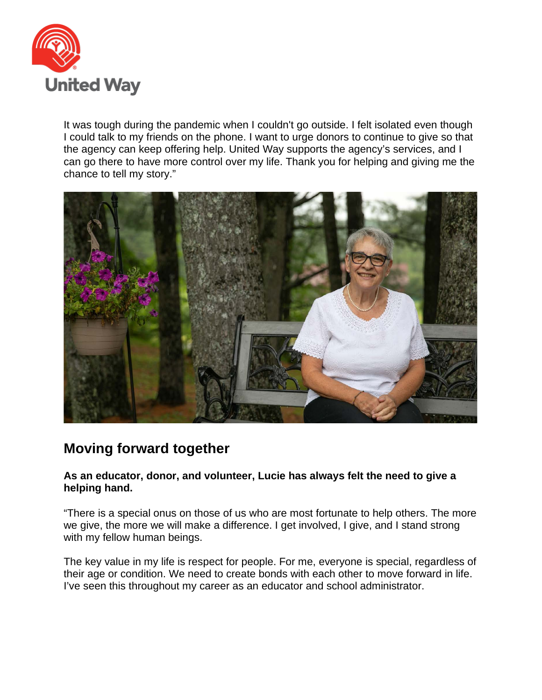

It was tough during the pandemic when I couldn't go outside. I felt isolated even though I could talk to my friends on the phone. I want to urge donors to continue to give so that the agency can keep offering help. United Way supports the agency's services, and I can go there to have more control over my life. Thank you for helping and giving me the chance to tell my story."



## **Moving forward together**

## **As an educator, donor, and volunteer, Lucie has always felt the need to give a helping hand.**

"There is a special onus on those of us who are most fortunate to help others. The more we give, the more we will make a difference. I get involved, I give, and I stand strong with my fellow human beings.

The key value in my life is respect for people. For me, everyone is special, regardless of their age or condition. We need to create bonds with each other to move forward in life. I've seen this throughout my career as an educator and school administrator.